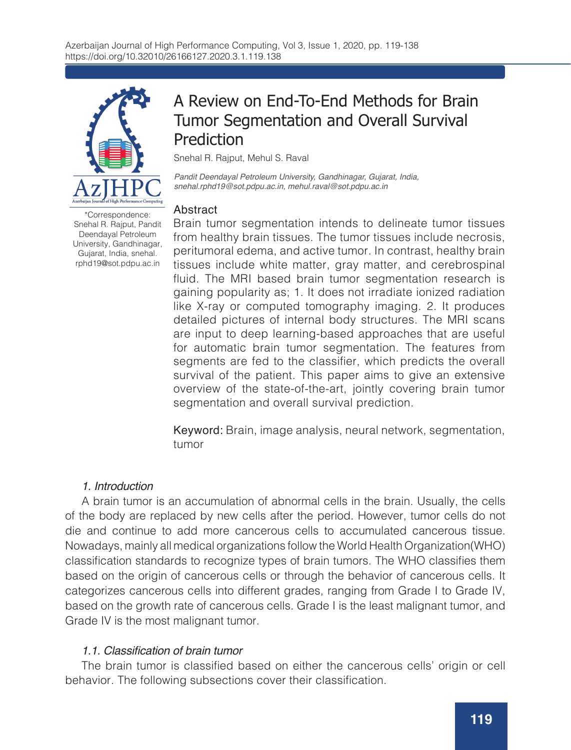

\*Correspondence: Snehal R. Rajput, Pandit Deendayal Petroleum University, Gandhinagar, Gujarat, India, snehal. rphd19@sot.pdpu.ac.in

## A Review on End-To-End Methods for Brain Tumor Segmentation and Overall Survival Prediction

Snehal R. Rajput, Mehul S. Raval

*Pandit Deendayal Petroleum University, Gandhinagar, Gujarat, India, snehal.rphd19@sot.pdpu.ac.in, mehul.raval@sot.pdpu.ac.in*

#### **Abstract**

Brain tumor segmentation intends to delineate tumor tissues from healthy brain tissues. The tumor tissues include necrosis, peritumoral edema, and active tumor. In contrast, healthy brain tissues include white matter, gray matter, and cerebrospinal fluid. The MRI based brain tumor segmentation research is gaining popularity as; 1. It does not irradiate ionized radiation like X-ray or computed tomography imaging. 2. It produces detailed pictures of internal body structures. The MRI scans are input to deep learning-based approaches that are useful for automatic brain tumor segmentation. The features from segments are fed to the classifier, which predicts the overall survival of the patient. This paper aims to give an extensive overview of the state-of-the-art, jointly covering brain tumor segmentation and overall survival prediction.

Keyword: Brain, image analysis, neural network, segmentation, tumor

## *1. Introduction*

A brain tumor is an accumulation of abnormal cells in the brain. Usually, the cells of the body are replaced by new cells after the period. However, tumor cells do not die and continue to add more cancerous cells to accumulated cancerous tissue. Nowadays, mainly all medical organizations follow the World Health Organization(WHO) classification standards to recognize types of brain tumors. The WHO classifies them based on the origin of cancerous cells or through the behavior of cancerous cells. It categorizes cancerous cells into different grades, ranging from Grade I to Grade IV, based on the growth rate of cancerous cells. Grade I is the least malignant tumor, and Grade IV is the most malignant tumor.

#### 1.1. Classification of brain tumor

The brain tumor is classified based on either the cancerous cells' origin or cell behavior. The following subsections cover their classification.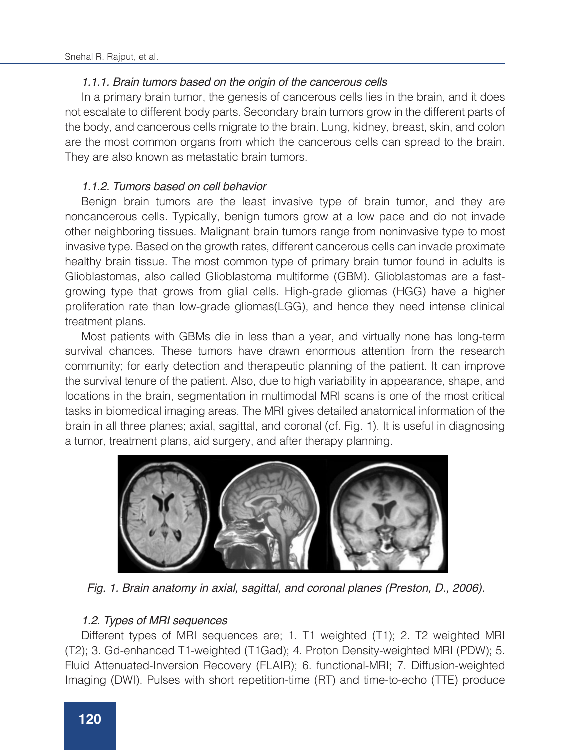## 1.1.1. Brain tumors based on the origin of the cancerous cells

In a primary brain tumor, the genesis of cancerous cells lies in the brain, and it does not escalate to different body parts. Secondary brain tumors grow in the different parts of the body, and cancerous cells migrate to the brain. Lung, kidney, breast, skin, and colon are the most common organs from which the cancerous cells can spread to the brain. They are also known as metastatic brain tumors.

### 1.1.2. Tumors based on cell behavior

Benign brain tumors are the least invasive type of brain tumor, and they are noncancerous cells. Typically, benign tumors grow at a low pace and do not invade other neighboring tissues. Malignant brain tumors range from noninvasive type to most invasive type. Based on the growth rates, different cancerous cells can invade proximate healthy brain tissue. The most common type of primary brain tumor found in adults is Glioblastomas, also called Glioblastoma multiforme (GBM). Glioblastomas are a fastgrowing type that grows from glial cells. High-grade gliomas (HGG) have a higher proliferation rate than low-grade gliomas(LGG), and hence they need intense clinical treatment plans.

Most patients with GBMs die in less than a year, and virtually none has long-term survival chances. These tumors have drawn enormous attention from the research community; for early detection and therapeutic planning of the patient. It can improve the survival tenure of the patient. Also, due to high variability in appearance, shape, and locations in the brain, segmentation in multimodal MRI scans is one of the most critical tasks in biomedical imaging areas. The MRI gives detailed anatomical information of the brain in all three planes; axial, sagittal, and coronal (cf. Fig. 1). It is useful in diagnosing a tumor, treatment plans, aid surgery, and after therapy planning.



*Fig. 1. Brain anatomy in axial, sagittal, and coronal planes (Preston, D., 2006).*

## 1.2. Types of MRI sequences

Different types of MRI sequences are; 1. T1 weighted (T1); 2. T2 weighted MRI (T2); 3. Gd-enhanced T1-weighted (T1Gad); 4. Proton Density-weighted MRI (PDW); 5. Fluid Attenuated-Inversion Recovery (FLAIR); 6. functional-MRI; 7. Diffusion-weighted Imaging (DWI). Pulses with short repetition-time (RT) and time-to-echo (TTE) produce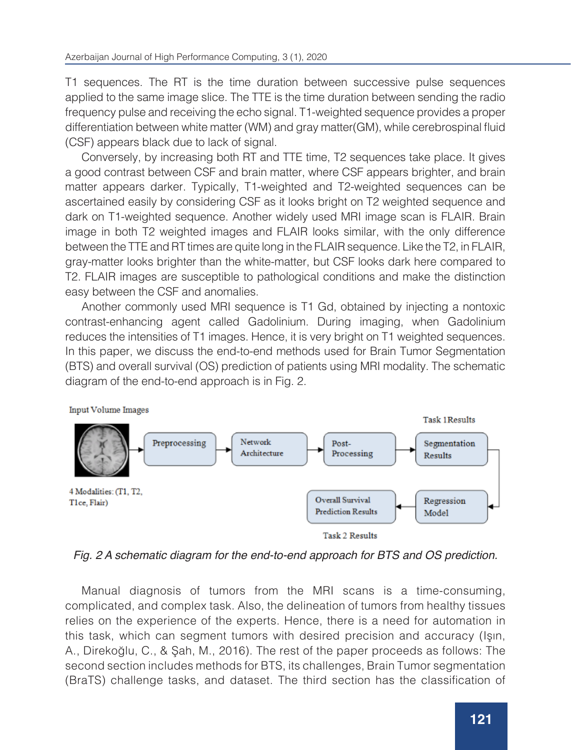T1 sequences. The RT is the time duration between successive pulse sequences applied to the same image slice. The TTE is the time duration between sending the radio frequency pulse and receiving the echo signal. T1-weighted sequence provides a proper differentiation between white matter (WM) and gray matter(GM), while cerebrospinal fluid (CSF) appears black due to lack of signal.

Conversely, by increasing both RT and TTE time, T2 sequences take place. It gives a good contrast between CSF and brain matter, where CSF appears brighter, and brain matter appears darker. Typically, T1-weighted and T2-weighted sequences can be ascertained easily by considering CSF as it looks bright on T2 weighted sequence and dark on T1-weighted sequence. Another widely used MRI image scan is FLAIR. Brain image in both T2 weighted images and FLAIR looks similar, with the only difference between the TTE and RT times are quite long in the FLAIR sequence. Like the T2, in FLAIR, gray-matter looks brighter than the white-matter, but CSF looks dark here compared to T2. FLAIR images are susceptible to pathological conditions and make the distinction easy between the CSF and anomalies.

Another commonly used MRI sequence is T1 Gd, obtained by injecting a nontoxic contrast-enhancing agent called Gadolinium. During imaging, when Gadolinium reduces the intensities of T1 images. Hence, it is very bright on T1 weighted sequences. In this paper, we discuss the end-to-end methods used for Brain Tumor Segmentation (BTS) and overall survival (OS) prediction of patients using MRI modality. The schematic diagram of the end-to-end approach is in Fig. 2.





Fig. 2 A schematic diagram for the end-to-end approach for BTS and OS prediction.

Manual diagnosis of tumors from the MRI scans is a time-consuming, complicated, and complex task. Also, the delineation of tumors from healthy tissues relies on the experience of the experts. Hence, there is a need for automation in this task, which can segment tumors with desired precision and accuracy (Işın, A., Direkoğlu, C., & Şah, M., 2016). The rest of the paper proceeds as follows: The second section includes methods for BTS, its challenges, Brain Tumor segmentation (BraTS) challenge tasks, and dataset. The third section has the classification of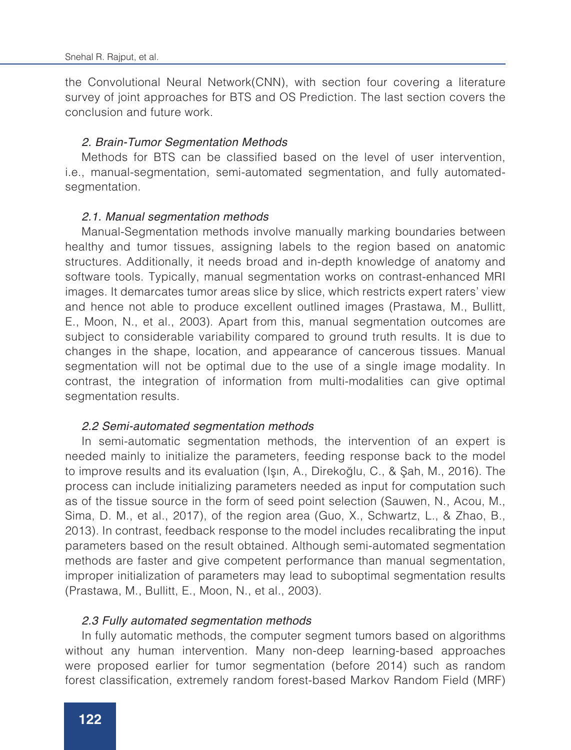the Convolutional Neural Network(CNN), with section four covering a literature survey of joint approaches for BTS and OS Prediction. The last section covers the conclusion and future work.

#### 2. Brain-Tumor Segmentation Methods

Methods for BTS can be classified based on the level of user intervention, i.e., manual-segmentation, semi-automated segmentation, and fully automatedsegmentation.

#### 2.1. Manual segmentation methods

Manual-Segmentation methods involve manually marking boundaries between healthy and tumor tissues, assigning labels to the region based on anatomic structures. Additionally, it needs broad and in-depth knowledge of anatomy and software tools. Typically, manual segmentation works on contrast-enhanced MRI images. It demarcates tumor areas slice by slice, which restricts expert raters' view and hence not able to produce excellent outlined images (Prastawa, M., Bullitt, E., Moon, N., et al., 2003). Apart from this, manual segmentation outcomes are subject to considerable variability compared to ground truth results. It is due to changes in the shape, location, and appearance of cancerous tissues. Manual segmentation will not be optimal due to the use of a single image modality. In contrast, the integration of information from multi-modalities can give optimal segmentation results.

#### 2.2 Semi-automated segmentation methods

In semi-automatic segmentation methods, the intervention of an expert is needed mainly to initialize the parameters, feeding response back to the model to improve results and its evaluation (Işın, A., Direkoğlu, C., & Şah, M., 2016). The process can include initializing parameters needed as input for computation such as of the tissue source in the form of seed point selection (Sauwen, N., Acou, M., Sima, D. M., et al., 2017), of the region area (Guo, X., Schwartz, L., & Zhao, B., 2013). In contrast, feedback response to the model includes recalibrating the input parameters based on the result obtained. Although semi-automated segmentation methods are faster and give competent performance than manual segmentation, improper initialization of parameters may lead to suboptimal segmentation results (Prastawa, M., Bullitt, E., Moon, N., et al., 2003).

#### *2.3 Fully automated segmentation methods*

In fully automatic methods, the computer segment tumors based on algorithms without any human intervention. Many non-deep learning-based approaches were proposed earlier for tumor segmentation (before 2014) such as random forest classification, extremely random forest-based Markov Random Field (MRF)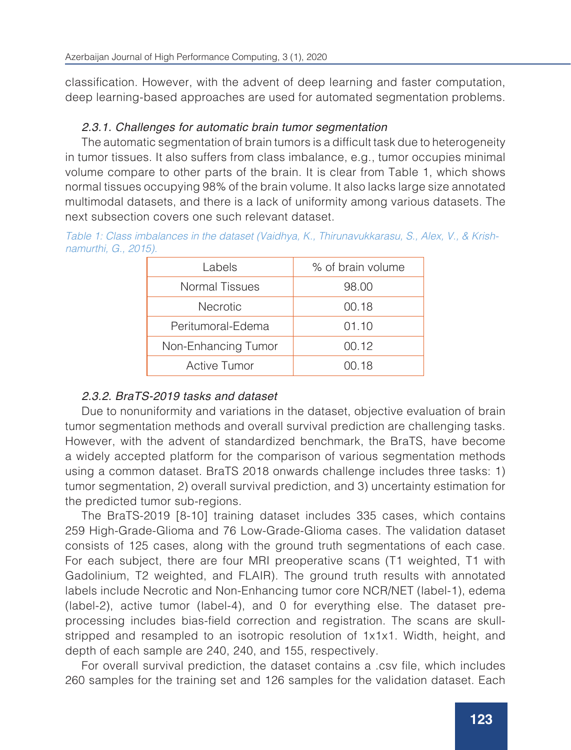classification. However, with the advent of deep learning and faster computation, deep learning-based approaches are used for automated segmentation problems.

## 2.3.1. Challenges for automatic brain tumor segmentation

The automatic segmentation of brain tumors is a difficult task due to heterogeneity in tumor tissues. It also suffers from class imbalance, e.g., tumor occupies minimal volume compare to other parts of the brain. It is clear from Table 1, which shows normal tissues occupying 98% of the brain volume. It also lacks large size annotated multimodal datasets, and there is a lack of uniformity among various datasets. The next subsection covers one such relevant dataset.

| Table 1: Class imbalances in the dataset (Vaidhya, K., Thirunavukkarasu, S., Alex, V., & Krish- |  |  |  |
|-------------------------------------------------------------------------------------------------|--|--|--|
| namurthi, G., 2015).                                                                            |  |  |  |

| Labels                | % of brain volume |
|-----------------------|-------------------|
| <b>Normal Tissues</b> | 98.00             |
| <b>Necrotic</b>       | 00.18             |
| Peritumoral-Edema     | 01.10             |
| Non-Enhancing Tumor   | 00.12             |
| <b>Active Tumor</b>   | 00.18             |

## 2.3.2. BraTS-2019 tasks and dataset

Due to nonuniformity and variations in the dataset, objective evaluation of brain tumor segmentation methods and overall survival prediction are challenging tasks. However, with the advent of standardized benchmark, the BraTS, have become a widely accepted platform for the comparison of various segmentation methods using a common dataset. BraTS 2018 onwards challenge includes three tasks: 1) tumor segmentation, 2) overall survival prediction, and 3) uncertainty estimation for the predicted tumor sub-regions.

The BraTS-2019 [8-10] training dataset includes 335 cases, which contains 259 High-Grade-Glioma and 76 Low-Grade-Glioma cases. The validation dataset consists of 125 cases, along with the ground truth segmentations of each case. For each subject, there are four MRI preoperative scans (T1 weighted, T1 with Gadolinium, T2 weighted, and FLAIR). The ground truth results with annotated labels include Necrotic and Non-Enhancing tumor core NCR/NET (label-1), edema (label-2), active tumor (label-4), and 0 for everything else. The dataset preprocessing includes bias-field correction and registration. The scans are skullstripped and resampled to an isotropic resolution of 1x1x1. Width, height, and depth of each sample are 240, 240, and 155, respectively.

For overall survival prediction, the dataset contains a .csv file, which includes 260 samples for the training set and 126 samples for the validation dataset. Each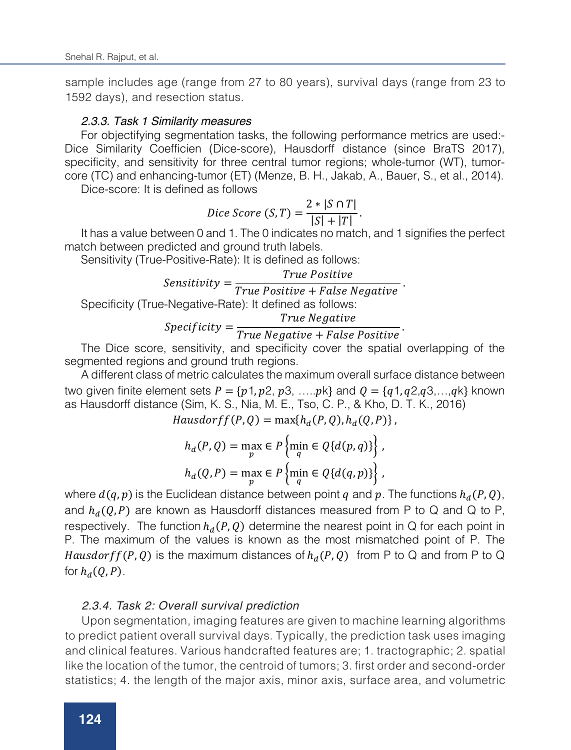sample includes age (range from 27 to 80 years), survival days (range from 23 to 1592 days), and resection status.

#### *2.3.3. Task 1 Similarity measures*

For objectifying segmentation tasks, the following performance metrics are used:- Dice Similarity Coefficien (Dice-score), Hausdorff distance (since BraTS 2017), specificity, and sensitivity for three central tumor regions; whole-tumor (WT), tumorcore (TC) and enhancing-tumor (ET) (Menze, B. H., Jakab, A., Bauer, S., et al., 2014).

Dice-score: It is defined as follows

$$
Dice Score (S, T) = \frac{2 * |S \cap T|}{|S| + |T|}.
$$

It has a value between 0 and 1. The 0 indicates no match, and 1 signifies the perfect match between predicted and ground truth labels.

Sensitivity (True-Positive-Rate): It is defined as follows:

## $\{Sensitivity =\}$

$$
Sensitivity = \frac{True \ Positive + False \ Negative}{True \ Positive + False \ Negative}
$$

Specificity (True-Negative-Rate): It defined as follows:

# $Specificity = \frac{True\ Negative}{True\ Negative + False\ Positive}$

The Dice score, sensitivity, and specificity cover the spatial overlapping of the segmented regions and ground truth regions.

A different class of metric calculates the maximum overall surface distance between two given finite element sets  $P = \{p1, p2, p3, \ldots pk\}$  and  $Q = \{q1, q2, q3, \ldots, qk\}$  known as Hausdorff distance (Sim, K. S., Nia, M. E., Tso, C. P., & Kho, D. T. K., 2016)

 $Hausdorff(P,Q) = \max\{h_d(P,Q), h_d(Q,P)\}\,$ 

$$
h_d(P,Q) = \max_p \in P\left\{\min_q \in Q\{d(p,q)\}\right\},\
$$

$$
h_d(Q,P) = \max_p \in P\left\{\min_q \in Q\{d(q,p)\}\right\},\
$$

where  $d(q, p)$  is the Euclidean distance between point q and p. The functions  $h_d(P, Q)$ , and  $h_d(Q, P)$  are known as Hausdorff distances measured from P to Q and Q to P, respectively. The function  $h_d(P,Q)$  determine the nearest point in Q for each point in P. The maximum of the values is known as the most mismatched point of P. The Hausdorf  $f(P,Q)$  is the maximum distances of  $h_d(P,Q)$  from P to Q and from P to Q for  $h_d(Q, P)$ .

#### 2.3.4. Task 2: Overall survival prediction

Upon segmentation, imaging features are given to machine learning algorithms to predict patient overall survival days. Typically, the prediction task uses imaging and clinical features. Various handcrafted features are; 1. tractographic; 2. spatial like the location of the tumor, the centroid of tumors; 3. first order and second-order statistics; 4. the length of the major axis, minor axis, surface area, and volumetric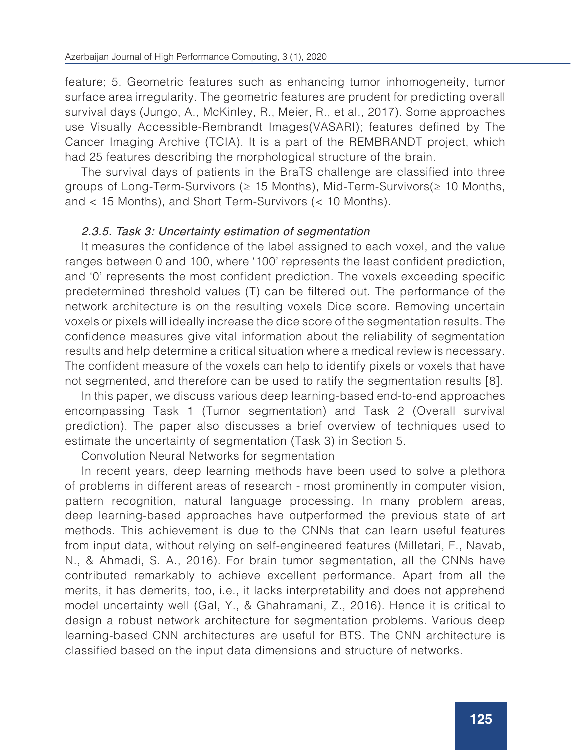feature; 5. Geometric features such as enhancing tumor inhomogeneity, tumor surface area irregularity. The geometric features are prudent for predicting overall survival days (Jungo, A., McKinley, R., Meier, R., et al., 2017). Some approaches use Visually Accessible-Rembrandt Images(VASARI); features defined by The Cancer Imaging Archive (TCIA). It is a part of the REMBRANDT project, which had 25 features describing the morphological structure of the brain.

The survival days of patients in the BraTS challenge are classified into three groups of Long-Term-Survivors (≥ 15 Months), Mid-Term-Survivors(≥ 10 Months, and < 15 Months), and Short Term-Survivors (< 10 Months).

## 2.3.5. Task 3: Uncertainty estimation of segmentation

It measures the confidence of the label assigned to each voxel, and the value ranges between 0 and 100, where '100' represents the least confident prediction, and '0' represents the most confident prediction. The voxels exceeding specific predetermined threshold values (T) can be filtered out. The performance of the network architecture is on the resulting voxels Dice score. Removing uncertain voxels or pixels will ideally increase the dice score of the segmentation results. The confidence measures give vital information about the reliability of segmentation results and help determine a critical situation where a medical review is necessary. The confident measure of the voxels can help to identify pixels or voxels that have not segmented, and therefore can be used to ratify the segmentation results [8].

In this paper, we discuss various deep learning-based end-to-end approaches encompassing Task 1 (Tumor segmentation) and Task 2 (Overall survival prediction). The paper also discusses a brief overview of techniques used to estimate the uncertainty of segmentation (Task 3) in Section 5.

Convolution Neural Networks for segmentation

In recent years, deep learning methods have been used to solve a plethora of problems in different areas of research - most prominently in computer vision, pattern recognition, natural language processing. In many problem areas, deep learning-based approaches have outperformed the previous state of art methods. This achievement is due to the CNNs that can learn useful features from input data, without relying on self-engineered features (Milletari, F., Navab, N., & Ahmadi, S. A., 2016). For brain tumor segmentation, all the CNNs have contributed remarkably to achieve excellent performance. Apart from all the merits, it has demerits, too, i.e., it lacks interpretability and does not apprehend model uncertainty well (Gal, Y., & Ghahramani, Z., 2016). Hence it is critical to design a robust network architecture for segmentation problems. Various deep learning-based CNN architectures are useful for BTS. The CNN architecture is classified based on the input data dimensions and structure of networks.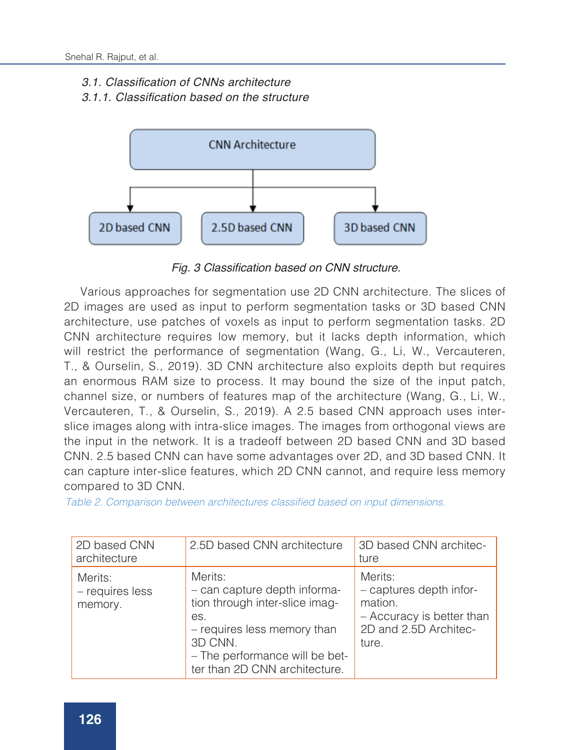#### 3.1. Classification of CNNs architecture

3.1.1. Classification based on the structure



Fig. 3 Classification based on CNN structure.

Various approaches for segmentation use 2D CNN architecture. The slices of 2D images are used as input to perform segmentation tasks or 3D based CNN architecture, use patches of voxels as input to perform segmentation tasks. 2D CNN architecture requires low memory, but it lacks depth information, which will restrict the performance of segmentation (Wang, G., Li, W., Vercauteren, T., & Ourselin, S., 2019). 3D CNN architecture also exploits depth but requires an enormous RAM size to process. It may bound the size of the input patch, channel size, or numbers of features map of the architecture (Wang, G., Li, W., Vercauteren, T., & Ourselin, S., 2019). A 2.5 based CNN approach uses interslice images along with intra-slice images. The images from orthogonal views are the input in the network. It is a tradeoff between 2D based CNN and 3D based CNN. 2.5 based CNN can have some advantages over 2D, and 3D based CNN. It can capture inter-slice features, which 2D CNN cannot, and require less memory compared to 3D CNN.

Table 2. Comparison between architectures classified based on input dimensions.

| 2D based CNN<br>architecture          | 2.5D based CNN architecture                                                                                                                                                                   | 3D based CNN architec-<br>ture                                                                               |
|---------------------------------------|-----------------------------------------------------------------------------------------------------------------------------------------------------------------------------------------------|--------------------------------------------------------------------------------------------------------------|
| Merits:<br>- requires less<br>memory. | Merits:<br>- can capture depth informa-<br>tion through inter-slice imag-<br>es.<br>- requires less memory than<br>3D CNN.<br>- The performance will be bet-<br>ter than 2D CNN architecture. | Merits:<br>- captures depth infor-<br>mation.<br>- Accuracy is better than<br>2D and 2.5D Architec-<br>ture. |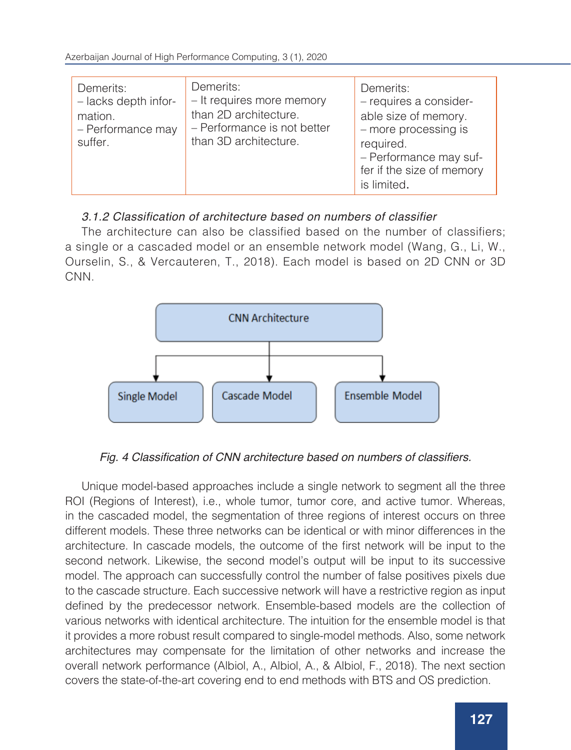| Demerits:<br>- lacks depth infor-<br>mation.<br>- Performance may<br>suffer. | Demerits:<br>- It requires more memory<br>than 2D architecture.<br>- Performance is not better<br>than 3D architecture. | Demerits:<br>- requires a consider-<br>able size of memory.<br>- more processing is<br>required.<br>- Performance may suf-<br>fer if the size of memory |
|------------------------------------------------------------------------------|-------------------------------------------------------------------------------------------------------------------------|---------------------------------------------------------------------------------------------------------------------------------------------------------|
|                                                                              |                                                                                                                         | is limited.                                                                                                                                             |

## 3.1.2 Classification of architecture based on numbers of classifier

The architecture can also be classified based on the number of classifiers; a single or a cascaded model or an ensemble network model (Wang, G., Li, W., Ourselin, S., & Vercauteren, T., 2018). Each model is based on 2D CNN or 3D CNN.



## Fig. 4 Classification of CNN architecture based on numbers of classifiers.

Unique model-based approaches include a single network to segment all the three ROI (Regions of Interest), i.e., whole tumor, tumor core, and active tumor. Whereas, in the cascaded model, the segmentation of three regions of interest occurs on three different models. These three networks can be identical or with minor differences in the architecture. In cascade models, the outcome of the first network will be input to the second network. Likewise, the second model's output will be input to its successive model. The approach can successfully control the number of false positives pixels due to the cascade structure. Each successive network will have a restrictive region as input defined by the predecessor network. Ensemble-based models are the collection of various networks with identical architecture. The intuition for the ensemble model is that it provides a more robust result compared to single-model methods. Also, some network architectures may compensate for the limitation of other networks and increase the overall network performance (Albiol, A., Albiol, A., & Albiol, F., 2018). The next section covers the state-of-the-art covering end to end methods with BTS and OS prediction.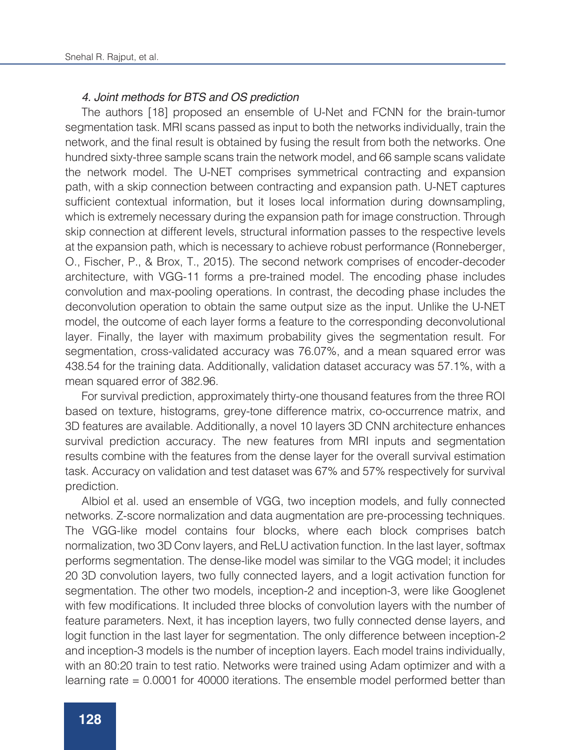#### 4. Joint methods for BTS and OS prediction

The authors [18] proposed an ensemble of U-Net and FCNN for the brain-tumor segmentation task. MRI scans passed as input to both the networks individually, train the network, and the final result is obtained by fusing the result from both the networks. One hundred sixty-three sample scans train the network model, and 66 sample scans validate the network model. The U-NET comprises symmetrical contracting and expansion path, with a skip connection between contracting and expansion path. U-NET captures sufficient contextual information, but it loses local information during downsampling, which is extremely necessary during the expansion path for image construction. Through skip connection at different levels, structural information passes to the respective levels at the expansion path, which is necessary to achieve robust performance (Ronneberger, O., Fischer, P., & Brox, T., 2015). The second network comprises of encoder-decoder architecture, with VGG-11 forms a pre-trained model. The encoding phase includes convolution and max-pooling operations. In contrast, the decoding phase includes the deconvolution operation to obtain the same output size as the input. Unlike the U-NET model, the outcome of each layer forms a feature to the corresponding deconvolutional layer. Finally, the layer with maximum probability gives the segmentation result. For segmentation, cross-validated accuracy was 76.07%, and a mean squared error was 438.54 for the training data. Additionally, validation dataset accuracy was 57.1%, with a mean squared error of 382.96.

For survival prediction, approximately thirty-one thousand features from the three ROI based on texture, histograms, grey-tone difference matrix, co-occurrence matrix, and 3D features are available. Additionally, a novel 10 layers 3D CNN architecture enhances survival prediction accuracy. The new features from MRI inputs and segmentation results combine with the features from the dense layer for the overall survival estimation task. Accuracy on validation and test dataset was 67% and 57% respectively for survival prediction.

Albiol et al. used an ensemble of VGG, two inception models, and fully connected networks. Z-score normalization and data augmentation are pre-processing techniques. The VGG-like model contains four blocks, where each block comprises batch normalization, two 3D Conv layers, and ReLU activation function. In the last layer, softmax performs segmentation. The dense-like model was similar to the VGG model; it includes 20 3D convolution layers, two fully connected layers, and a logit activation function for segmentation. The other two models, inception-2 and inception-3, were like Googlenet with few modifications. It included three blocks of convolution layers with the number of feature parameters. Next, it has inception layers, two fully connected dense layers, and logit function in the last layer for segmentation. The only difference between inception-2 and inception-3 models is the number of inception layers. Each model trains individually, with an 80:20 train to test ratio. Networks were trained using Adam optimizer and with a learning rate = 0.0001 for 40000 iterations. The ensemble model performed better than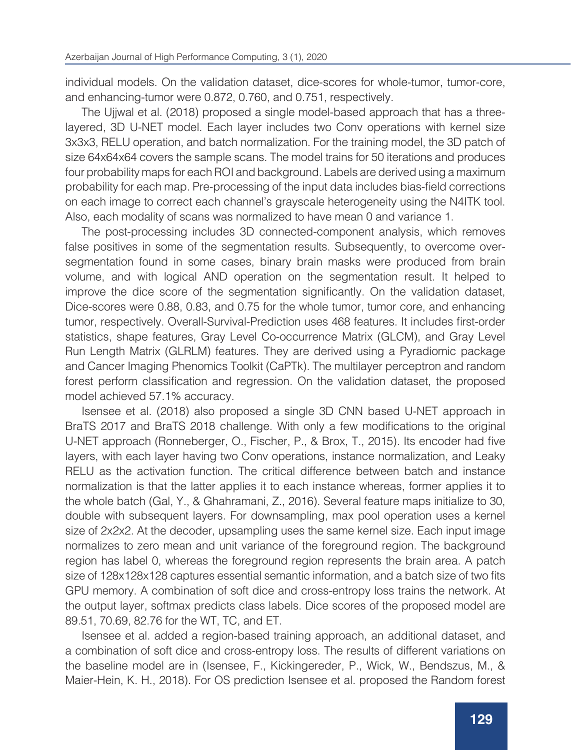individual models. On the validation dataset, dice-scores for whole-tumor, tumor-core, and enhancing-tumor were 0.872, 0.760, and 0.751, respectively.

The Ujjwal et al. (2018) proposed a single model-based approach that has a threelayered, 3D U-NET model. Each layer includes two Conv operations with kernel size 3x3x3, RELU operation, and batch normalization. For the training model, the 3D patch of size 64x64x64 covers the sample scans. The model trains for 50 iterations and produces four probability maps for each ROI and background. Labels are derived using a maximum probability for each map. Pre-processing of the input data includes bias-field corrections on each image to correct each channel's grayscale heterogeneity using the N4ITK tool. Also, each modality of scans was normalized to have mean 0 and variance 1.

The post-processing includes 3D connected-component analysis, which removes false positives in some of the segmentation results. Subsequently, to overcome oversegmentation found in some cases, binary brain masks were produced from brain volume, and with logical AND operation on the segmentation result. It helped to improve the dice score of the segmentation significantly. On the validation dataset, Dice-scores were 0.88, 0.83, and 0.75 for the whole tumor, tumor core, and enhancing tumor, respectively. Overall-Survival-Prediction uses 468 features. It includes first-order statistics, shape features, Gray Level Co-occurrence Matrix (GLCM), and Gray Level Run Length Matrix (GLRLM) features. They are derived using a Pyradiomic package and Cancer Imaging Phenomics Toolkit (CaPTk). The multilayer perceptron and random forest perform classification and regression. On the validation dataset, the proposed model achieved 57.1% accuracy.

Isensee et al. (2018) also proposed a single 3D CNN based U-NET approach in BraTS 2017 and BraTS 2018 challenge. With only a few modifications to the original U-NET approach (Ronneberger, O., Fischer, P., & Brox, T., 2015). Its encoder had five layers, with each layer having two Conv operations, instance normalization, and Leaky RELU as the activation function. The critical difference between batch and instance normalization is that the latter applies it to each instance whereas, former applies it to the whole batch (Gal, Y., & Ghahramani, Z., 2016). Several feature maps initialize to 30, double with subsequent layers. For downsampling, max pool operation uses a kernel size of 2x2x2. At the decoder, upsampling uses the same kernel size. Each input image normalizes to zero mean and unit variance of the foreground region. The background region has label 0, whereas the foreground region represents the brain area. A patch size of 128x128x128 captures essential semantic information, and a batch size of two fits GPU memory. A combination of soft dice and cross-entropy loss trains the network. At the output layer, softmax predicts class labels. Dice scores of the proposed model are 89.51, 70.69, 82.76 for the WT, TC, and ET.

Isensee et al. added a region-based training approach, an additional dataset, and a combination of soft dice and cross-entropy loss. The results of different variations on the baseline model are in (Isensee, F., Kickingereder, P., Wick, W., Bendszus, M., & Maier-Hein, K. H., 2018). For OS prediction Isensee et al. proposed the Random forest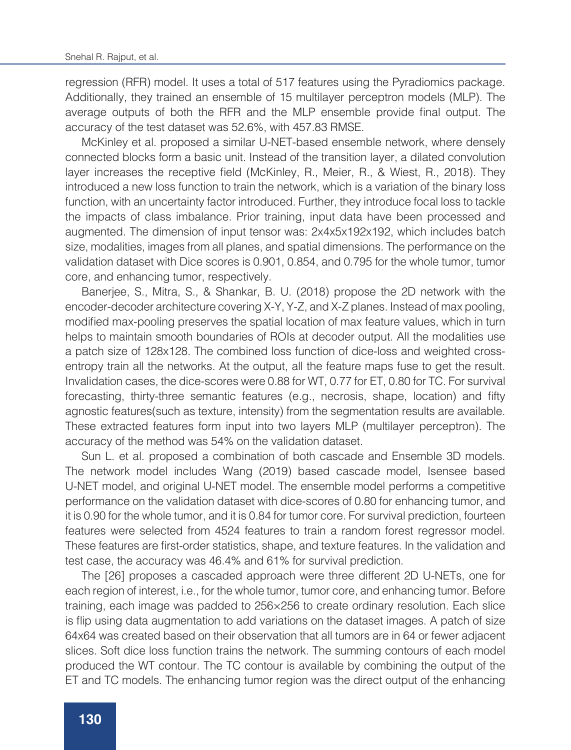regression (RFR) model. It uses a total of 517 features using the Pyradiomics package. Additionally, they trained an ensemble of 15 multilayer perceptron models (MLP). The average outputs of both the RFR and the MLP ensemble provide final output. The accuracy of the test dataset was 52.6%, with 457.83 RMSE.

McKinley et al. proposed a similar U-NET-based ensemble network, where densely connected blocks form a basic unit. Instead of the transition layer, a dilated convolution layer increases the receptive field (McKinley, R., Meier, R., & Wiest, R., 2018). They introduced a new loss function to train the network, which is a variation of the binary loss function, with an uncertainty factor introduced. Further, they introduce focal loss to tackle the impacts of class imbalance. Prior training, input data have been processed and augmented. The dimension of input tensor was: 2x4x5x192x192, which includes batch size, modalities, images from all planes, and spatial dimensions. The performance on the validation dataset with Dice scores is 0.901, 0.854, and 0.795 for the whole tumor, tumor core, and enhancing tumor, respectively.

Banerjee, S., Mitra, S., & Shankar, B. U. (2018) propose the 2D network with the encoder-decoder architecture covering X-Y, Y-Z, and X-Z planes. Instead of max pooling, modified max-pooling preserves the spatial location of max feature values, which in turn helps to maintain smooth boundaries of ROIs at decoder output. All the modalities use a patch size of 128x128. The combined loss function of dice-loss and weighted crossentropy train all the networks. At the output, all the feature maps fuse to get the result. Invalidation cases, the dice-scores were 0.88 for WT, 0.77 for ET, 0.80 for TC. For survival forecasting, thirty-three semantic features (e.g., necrosis, shape, location) and fifty agnostic features(such as texture, intensity) from the segmentation results are available. These extracted features form input into two layers MLP (multilayer perceptron). The accuracy of the method was 54% on the validation dataset.

Sun L. et al. proposed a combination of both cascade and Ensemble 3D models. The network model includes Wang (2019) based cascade model, Isensee based U-NET model, and original U-NET model. The ensemble model performs a competitive performance on the validation dataset with dice-scores of 0.80 for enhancing tumor, and it is 0.90 for the whole tumor, and it is 0.84 for tumor core. For survival prediction, fourteen features were selected from 4524 features to train a random forest regressor model. These features are first-order statistics, shape, and texture features. In the validation and test case, the accuracy was 46.4% and 61% for survival prediction.

The [26] proposes a cascaded approach were three different 2D U-NETs, one for each region of interest, i.e., for the whole tumor, tumor core, and enhancing tumor. Before training, each image was padded to 256×256 to create ordinary resolution. Each slice is flip using data augmentation to add variations on the dataset images. A patch of size 64x64 was created based on their observation that all tumors are in 64 or fewer adjacent slices. Soft dice loss function trains the network. The summing contours of each model produced the WT contour. The TC contour is available by combining the output of the ET and TC models. The enhancing tumor region was the direct output of the enhancing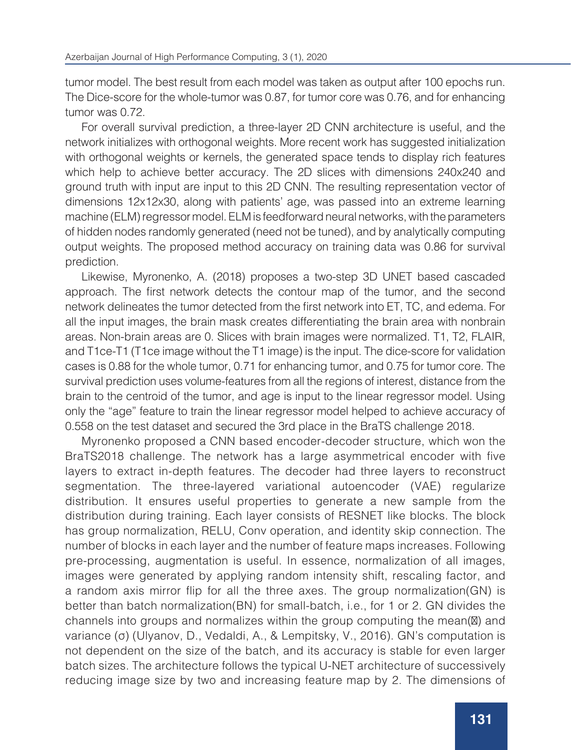tumor model. The best result from each model was taken as output after 100 epochs run. The Dice-score for the whole-tumor was 0.87, for tumor core was 0.76, and for enhancing tumor was 0.72.

For overall survival prediction, a three-layer 2D CNN architecture is useful, and the network initializes with orthogonal weights. More recent work has suggested initialization with orthogonal weights or kernels, the generated space tends to display rich features which help to achieve better accuracy. The 2D slices with dimensions 240x240 and ground truth with input are input to this 2D CNN. The resulting representation vector of dimensions 12x12x30, along with patients' age, was passed into an extreme learning machine (ELM) regressor model. ELM is feedforward neural networks, with the parameters of hidden nodes randomly generated (need not be tuned), and by analytically computing output weights. The proposed method accuracy on training data was 0.86 for survival prediction.

Likewise, Myronenko, A. (2018) proposes a two-step 3D UNET based cascaded approach. The first network detects the contour map of the tumor, and the second network delineates the tumor detected from the first network into ET, TC, and edema. For all the input images, the brain mask creates differentiating the brain area with nonbrain areas. Non-brain areas are 0. Slices with brain images were normalized. T1, T2, FLAIR, and T1ce-T1 (T1ce image without the T1 image) is the input. The dice-score for validation cases is 0.88 for the whole tumor, 0.71 for enhancing tumor, and 0.75 for tumor core. The survival prediction uses volume-features from all the regions of interest, distance from the brain to the centroid of the tumor, and age is input to the linear regressor model. Using only the "age" feature to train the linear regressor model helped to achieve accuracy of 0.558 on the test dataset and secured the 3rd place in the BraTS challenge 2018.

Myronenko proposed a CNN based encoder-decoder structure, which won the BraTS2018 challenge. The network has a large asymmetrical encoder with five layers to extract in-depth features. The decoder had three layers to reconstruct segmentation. The three-layered variational autoencoder (VAE) regularize distribution. It ensures useful properties to generate a new sample from the distribution during training. Each layer consists of RESNET like blocks. The block has group normalization, RELU, Conv operation, and identity skip connection. The number of blocks in each layer and the number of feature maps increases. Following pre-processing, augmentation is useful. In essence, normalization of all images, images were generated by applying random intensity shift, rescaling factor, and a random axis mirror flip for all the three axes. The group normalization(GN) is better than batch normalization(BN) for small-batch, i.e., for 1 or 2. GN divides the channels into groups and normalizes within the group computing the mean $(\boxtimes)$  and variance (σ) (Ulyanov, D., Vedaldi, A., & Lempitsky, V., 2016). GN's computation is not dependent on the size of the batch, and its accuracy is stable for even larger batch sizes. The architecture follows the typical U-NET architecture of successively reducing image size by two and increasing feature map by 2. The dimensions of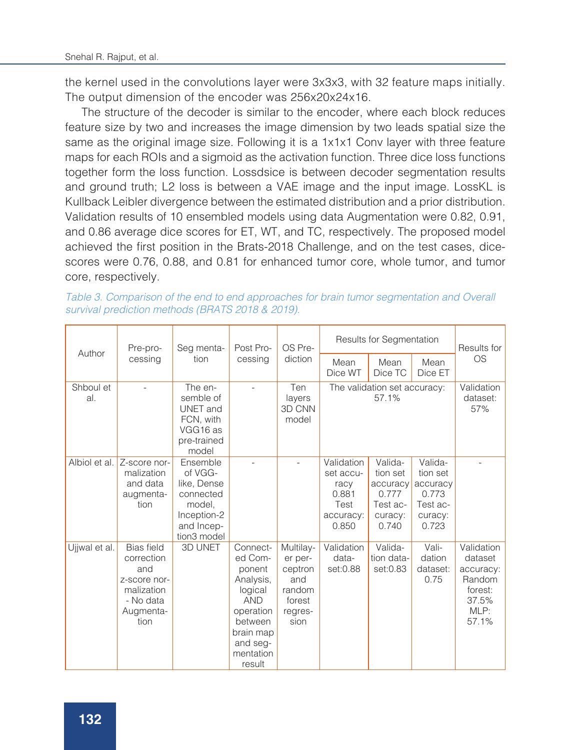the kernel used in the convolutions layer were 3x3x3, with 32 feature maps initially. The output dimension of the encoder was 256x20x24x16.

The structure of the decoder is similar to the encoder, where each block reduces feature size by two and increases the image dimension by two leads spatial size the same as the original image size. Following it is a 1x1x1 Conv layer with three feature maps for each ROIs and a sigmoid as the activation function. Three dice loss functions together form the loss function. Lossdsice is between decoder segmentation results and ground truth; L2 loss is between a VAE image and the input image. LossKL is Kullback Leibler divergence between the estimated distribution and a prior distribution. Validation results of 10 ensembled models using data Augmentation were 0.82, 0.91, and 0.86 average dice scores for ET, WT, and TC, respectively. The proposed model achieved the first position in the Brats-2018 Challenge, and on the test cases, dicescores were 0.76, 0.88, and 0.81 for enhanced tumor core, whole tumor, and tumor core, respectively.

*Table 3. Comparison of the end to end approaches for brain tumor segmentation and Overall survival prediction methods (BRATS 2018 & 2019).* 

| Author           | Pre-pro-                                                                                               | Seg menta-                                                                                            | Post Pro-                                                                                                                                   | OS Pre-<br>diction                                                            | Results for Segmentation                                               |                                                                          |                                                                          | Results for                                                                       |
|------------------|--------------------------------------------------------------------------------------------------------|-------------------------------------------------------------------------------------------------------|---------------------------------------------------------------------------------------------------------------------------------------------|-------------------------------------------------------------------------------|------------------------------------------------------------------------|--------------------------------------------------------------------------|--------------------------------------------------------------------------|-----------------------------------------------------------------------------------|
|                  | cessing                                                                                                | tion                                                                                                  | cessing                                                                                                                                     |                                                                               | Mean<br>Dice WT                                                        | Mean<br>Dice TC                                                          | Mean<br>Dice ET                                                          | <b>OS</b>                                                                         |
| Shboul et<br>al. |                                                                                                        | The en-<br>semble of<br>UNET and<br>FCN, with<br>VGG16 as<br>pre-trained<br>model                     |                                                                                                                                             | Ten<br>layers<br>3D CNN<br>model                                              |                                                                        | The validation set accuracy:<br>57.1%                                    |                                                                          | Validation<br>dataset:<br>57%                                                     |
| Albiol et al.    | Z-score nor-<br>malization<br>and data<br>augmenta-<br>tion                                            | Ensemble<br>of VGG-<br>like, Dense<br>connected<br>model.<br>Inception-2<br>and Incep-<br>tion3 model |                                                                                                                                             |                                                                               | Validation<br>set accu-<br>racy<br>0.881<br>Test<br>accuracy:<br>0.850 | Valida-<br>tion set<br>accuracy<br>0.777<br>Test ac-<br>curacy:<br>0.740 | Valida-<br>tion set<br>accuracy<br>0.773<br>Test ac-<br>curacy:<br>0.723 |                                                                                   |
| Ujjwal et al.    | <b>Bias</b> field<br>correction<br>and<br>z-score nor-<br>malization<br>- No data<br>Augmenta-<br>tion | <b>3D UNET</b>                                                                                        | Connect-<br>ed Com-<br>ponent<br>Analysis,<br>logical<br><b>AND</b><br>operation<br>between<br>brain map<br>and seg-<br>mentation<br>result | Multilay-<br>er per-<br>ceptron<br>and<br>random<br>forest<br>regres-<br>sion | Validation<br>data-<br>set:0.88                                        | Valida-<br>tion data-<br>set:0.83                                        | Vali-<br>dation<br>dataset:<br>0.75                                      | Validation<br>dataset<br>accuracy:<br>Random<br>forest:<br>37.5%<br>MLP:<br>57.1% |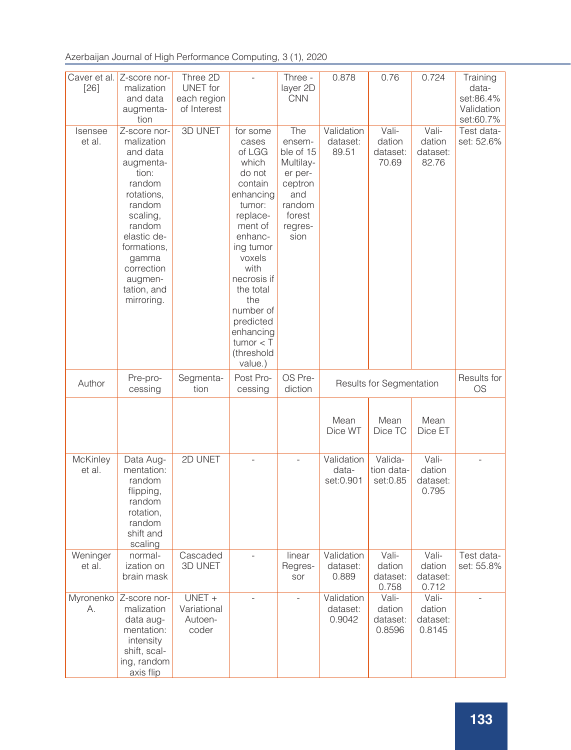Azerbaijan Journal of High Performance Computing, 3 (1), 2020

| Caver et al.<br>[26] | Z-score nor-<br>malization<br>and data<br>augmenta-<br>tion                                                                                                                                                       | Three 2D<br><b>UNET</b> for<br>each region<br>of Interest | $\overline{a}$                                                                                                                                                                                                                                                         | Three -<br>layer 2D<br><b>CNN</b>                                                                           | 0.878                            | 0.76                                  | 0.724                                 | Training<br>data-<br>set:86.4%<br>Validation<br>set:60.7% |
|----------------------|-------------------------------------------------------------------------------------------------------------------------------------------------------------------------------------------------------------------|-----------------------------------------------------------|------------------------------------------------------------------------------------------------------------------------------------------------------------------------------------------------------------------------------------------------------------------------|-------------------------------------------------------------------------------------------------------------|----------------------------------|---------------------------------------|---------------------------------------|-----------------------------------------------------------|
| Isensee<br>et al.    | Z-score nor-<br>malization<br>and data<br>augmenta-<br>tion:<br>random<br>rotations,<br>random<br>scaling,<br>random<br>elastic de-<br>formations,<br>gamma<br>correction<br>augmen-<br>tation, and<br>mirroring. | 3D UNET                                                   | for some<br>cases<br>of LGG<br>which<br>do not<br>contain<br>enhancing<br>tumor:<br>replace-<br>ment of<br>enhanc-<br>ing tumor<br>voxels<br>with<br>necrosis if<br>the total<br>the<br>number of<br>predicted<br>enhancing<br>$t$ umor $<$ T<br>(threshold<br>value.) | The<br>ensem-<br>ble of 15<br>Multilay-<br>er per-<br>ceptron<br>and<br>random<br>forest<br>regres-<br>sion | Validation<br>dataset:<br>89.51  | Vali-<br>dation<br>dataset:<br>70.69  | Vali-<br>dation<br>dataset:<br>82.76  | Test data-<br>set: 52.6%                                  |
| Author               | Pre-pro-<br>cessing                                                                                                                                                                                               | Segmenta-<br>tion                                         | Post Pro-<br>cessing                                                                                                                                                                                                                                                   | OS Pre-<br>diction                                                                                          |                                  | Results for Segmentation              |                                       | Results for<br>OS                                         |
|                      |                                                                                                                                                                                                                   |                                                           |                                                                                                                                                                                                                                                                        |                                                                                                             | Mean<br>Dice WT                  | Mean<br>Dice TC                       | Mean<br>Dice ET                       |                                                           |
| McKinley<br>et al.   | Data Aug-<br>mentation:<br>random<br>flipping,<br>random<br>rotation,<br>random<br>shift and<br>scaling                                                                                                           | 2D UNET                                                   | $\overline{a}$                                                                                                                                                                                                                                                         | $\overline{a}$                                                                                              | Validation<br>data-<br>set:0.901 | Valida-<br>tion data-<br>set:0.85     | Vali-<br>dation<br>dataset:<br>0.795  | $\overline{a}$                                            |
| Weninger<br>et al.   | normal-<br>ization on<br>brain mask                                                                                                                                                                               | Cascaded<br><b>3D UNET</b>                                | $\overline{a}$                                                                                                                                                                                                                                                         | linear<br>Regres-<br>sor                                                                                    | Validation<br>dataset:<br>0.889  | Vali-<br>dation<br>dataset:<br>U.758  | Vali-<br>dation<br>dataset:<br>0.712  | Test data-<br>set: 55.8%                                  |
| Myronenko<br>А.      | Z-score nor-<br>malization<br>data aug-<br>mentation:<br>intensity<br>shift, scal-<br>ing, random<br>axis flip                                                                                                    | $UNET +$<br>Variational<br>Autoen-<br>coder               |                                                                                                                                                                                                                                                                        |                                                                                                             | Validation<br>dataset:<br>0.9042 | Vali-<br>dation<br>dataset:<br>0.8596 | Vali-<br>dation<br>dataset:<br>0.8145 |                                                           |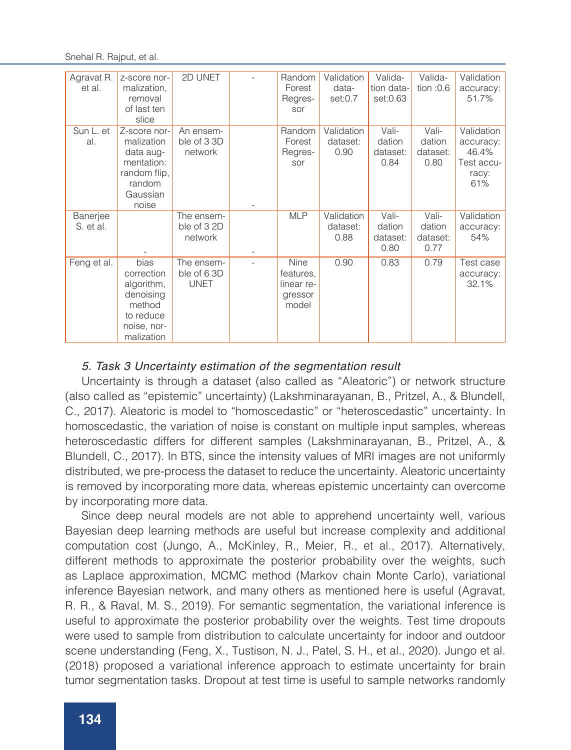Snehal R. Rajput, et al.

| Agravat R.<br>et al.  | z-score nor-<br>malization,<br>removal<br>of last ten<br>slice                                       | 2D UNET                                  | Random<br>Forest<br>Regres-<br>sor                  | Validation<br>data-<br>set:0.7 | Valida-<br>tion data-<br>set:0.63   | Valida-<br>tion: $0.6$              | Validation<br>accuracy:<br>51.7%                               |
|-----------------------|------------------------------------------------------------------------------------------------------|------------------------------------------|-----------------------------------------------------|--------------------------------|-------------------------------------|-------------------------------------|----------------------------------------------------------------|
| Sun L. et<br>al.      | Z-score nor-<br>malization<br>data aug-<br>mentation:<br>random flip,<br>random<br>Gaussian<br>noise | An ensem-<br>ble of 3 3D<br>network      | Random<br>Forest<br>Regres-<br>sor                  | Validation<br>dataset:<br>0.90 | Vali-<br>dation<br>dataset:<br>0.84 | Vali-<br>dation<br>dataset:<br>0.80 | Validation<br>accuracy:<br>46.4%<br>Test accu-<br>racy:<br>61% |
| Banerjee<br>S. et al. |                                                                                                      | The ensem-<br>ble of 32D<br>network      | <b>MLP</b>                                          | Validation<br>dataset:<br>0.88 | Vali-<br>dation<br>dataset:<br>0.80 | Vali-<br>dation<br>dataset:<br>0.77 | Validation<br>accuracy:<br>54%                                 |
| Feng et al.           | bias<br>correction<br>algorithm,<br>denoising<br>method<br>to reduce<br>noise, nor-<br>malization    | The ensem-<br>ble of 6 3D<br><b>UNET</b> | Nine<br>features,<br>linear re-<br>gressor<br>model | 0.90                           | 0.83                                | 0.79                                | Test case<br>accuracy:<br>32.1%                                |

## 5. Task 3 Uncertainty estimation of the segmentation result

Uncertainty is through a dataset (also called as "Aleatoric") or network structure (also called as "epistemic" uncertainty) (Lakshminarayanan, B., Pritzel, A., & Blundell, C., 2017). Aleatoric is model to "homoscedastic" or "heteroscedastic" uncertainty. In homoscedastic, the variation of noise is constant on multiple input samples, whereas heteroscedastic differs for different samples (Lakshminarayanan, B., Pritzel, A., & Blundell, C., 2017). In BTS, since the intensity values of MRI images are not uniformly distributed, we pre-process the dataset to reduce the uncertainty. Aleatoric uncertainty is removed by incorporating more data, whereas epistemic uncertainty can overcome by incorporating more data.

Since deep neural models are not able to apprehend uncertainty well, various Bayesian deep learning methods are useful but increase complexity and additional computation cost (Jungo, A., McKinley, R., Meier, R., et al., 2017). Alternatively, different methods to approximate the posterior probability over the weights, such as Laplace approximation, MCMC method (Markov chain Monte Carlo), variational inference Bayesian network, and many others as mentioned here is useful (Agravat, R. R., & Raval, M. S., 2019). For semantic segmentation, the variational inference is useful to approximate the posterior probability over the weights. Test time dropouts were used to sample from distribution to calculate uncertainty for indoor and outdoor scene understanding (Feng, X., Tustison, N. J., Patel, S. H., et al., 2020). Jungo et al. (2018) proposed a variational inference approach to estimate uncertainty for brain tumor segmentation tasks. Dropout at test time is useful to sample networks randomly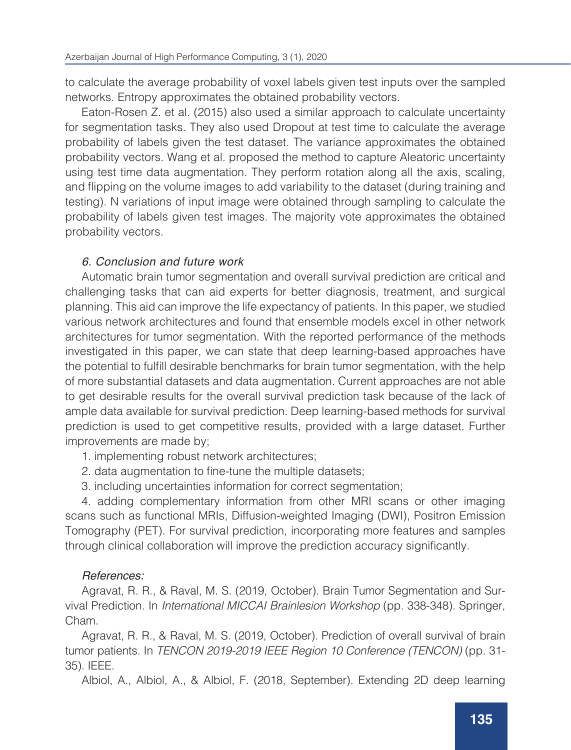to calculate the average probability of voxel labels given test inputs over the sampled networks. Entropy approximates the obtained probability vectors.

Eaton-Rosen Z. et al. (2015) also used a similar approach to calculate uncertainty for segmentation tasks. They also used Dropout at test time to calculate the average probability of labels given the test dataset. The variance approximates the obtained probability vectors. Wang et al. proposed the method to capture Aleatoric uncertainty using test time data augmentation. They perform rotation along all the axis, scaling, and flipping on the volume images to add variability to the dataset (during training and testing). N variations of input image were obtained through sampling to calculate the probability of labels given test images. The majority vote approximates the obtained probability vectors.

## 6. Conclusion and future work

Automatic brain tumor segmentation and overall survival prediction are critical and challenging tasks that can aid experts for better diagnosis, treatment, and surgical planning. This aid can improve the life expectancy of patients. In this paper, we studied various network architectures and found that ensemble models excel in other network architectures for tumor segmentation. With the reported performance of the methods investigated in this paper, we can state that deep learning-based approaches have the potential to fulfill desirable benchmarks for brain tumor segmentation, with the help of more substantial datasets and data augmentation. Current approaches are not able to get desirable results for the overall survival prediction task because of the lack of ample data available for survival prediction. Deep learning-based methods for survival prediction is used to get competitive results, provided with a large dataset. Further improvements are made by;

- 1. implementing robust network architectures;
- 2. data augmentation to fine-tune the multiple datasets;
- 3. including uncertainties information for correct segmentation;

4. adding complementary information from other MRI scans or other imaging scans such as functional MRIs, Diffusion-weighted Imaging (DWI), Positron Emission Tomography (PET). For survival prediction, incorporating more features and samples through clinical collaboration will improve the prediction accuracy significantly.

## References:

Agravat, R. R., & Raval, M. S. (2019, October). Brain Tumor Segmentation and Survival Prediction. In *International MICCAI Brainlesion Workshop* (pp. 338-348). Springer, Cham.

Agravat, R. R., & Raval, M. S. (2019, October). Prediction of overall survival of brain tumor patients. In *TENCON 2019-2019 IEEE Region 10 Conference (TENCON)* (pp. 31- 35). IEEE.

Albiol, A., Albiol, A., & Albiol, F. (2018, September). Extending 2D deep learning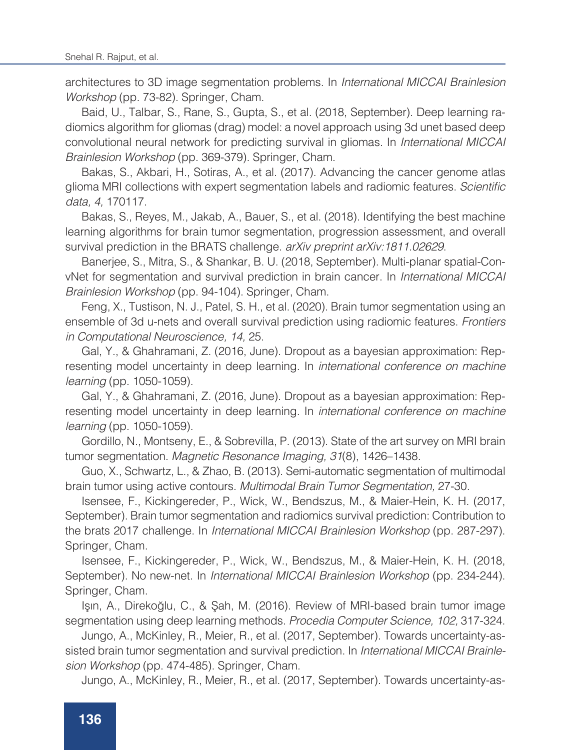architectures to 3D image segmentation problems. In *International MICCAI Brainlesion Workshop* (pp. 73-82). Springer, Cham.

Baid, U., Talbar, S., Rane, S., Gupta, S., et al. (2018, September). Deep learning radiomics algorithm for gliomas (drag) model: a novel approach using 3d unet based deep convolutional neural network for predicting survival in gliomas. In *International MICCAI Brainlesion Workshop* (pp. 369-379). Springer, Cham.

Bakas, S., Akbari, H., Sotiras, A., et al. (2017). Advancing the cancer genome atlas glioma MRI collections with expert segmentation labels and radiomic features. Scientific *data, 4,* 170117.

Bakas, S., Reyes, M., Jakab, A., Bauer, S., et al. (2018). Identifying the best machine learning algorithms for brain tumor segmentation, progression assessment, and overall survival prediction in the BRATS challenge. *arXiv preprint arXiv:1811.02629*.

Banerjee, S., Mitra, S., & Shankar, B. U. (2018, September). Multi-planar spatial-ConvNet for segmentation and survival prediction in brain cancer. In *International MICCAI Brainlesion Workshop* (pp. 94-104). Springer, Cham.

Feng, X., Tustison, N. J., Patel, S. H., et al. (2020). Brain tumor segmentation using an ensemble of 3d u-nets and overall survival prediction using radiomic features. *Frontiers in Computational Neuroscience, 14,* 25.

Gal, Y., & Ghahramani, Z. (2016, June). Dropout as a bayesian approximation: Representing model uncertainty in deep learning. In *international conference on machine learning* (pp. 1050-1059).

Gal, Y., & Ghahramani, Z. (2016, June). Dropout as a bayesian approximation: Representing model uncertainty in deep learning. In *international conference on machine learning* (pp. 1050-1059).

Gordillo, N., Montseny, E., & Sobrevilla, P. (2013). State of the art survey on MRI brain tumor segmentation. *Magnetic Resonance Imaging, 31*(8), 1426–1438.

Guo, X., Schwartz, L., & Zhao, B. (2013). Semi-automatic segmentation of multimodal brain tumor using active contours. *Multimodal Brain Tumor Segmentation,* 27-30.

Isensee, F., Kickingereder, P., Wick, W., Bendszus, M., & Maier-Hein, K. H. (2017, September). Brain tumor segmentation and radiomics survival prediction: Contribution to the brats 2017 challenge. In *International MICCAI Brainlesion Workshop* (pp. 287-297). Springer, Cham.

Isensee, F., Kickingereder, P., Wick, W., Bendszus, M., & Maier-Hein, K. H. (2018, September). No new-net. In *International MICCAI Brainlesion Workshop* (pp. 234-244). Springer, Cham.

Işın, A., Direkoğlu, C., & Şah, M. (2016). Review of MRI-based brain tumor image segmentation using deep learning methods. *Procedia Computer Science, 102,* 317-324.

Jungo, A., McKinley, R., Meier, R., et al. (2017, September). Towards uncertainty-assisted brain tumor segmentation and survival prediction. In *International MICCAI Brainlesion Workshop* (pp. 474-485). Springer, Cham.

Jungo, A., McKinley, R., Meier, R., et al. (2017, September). Towards uncertainty-as-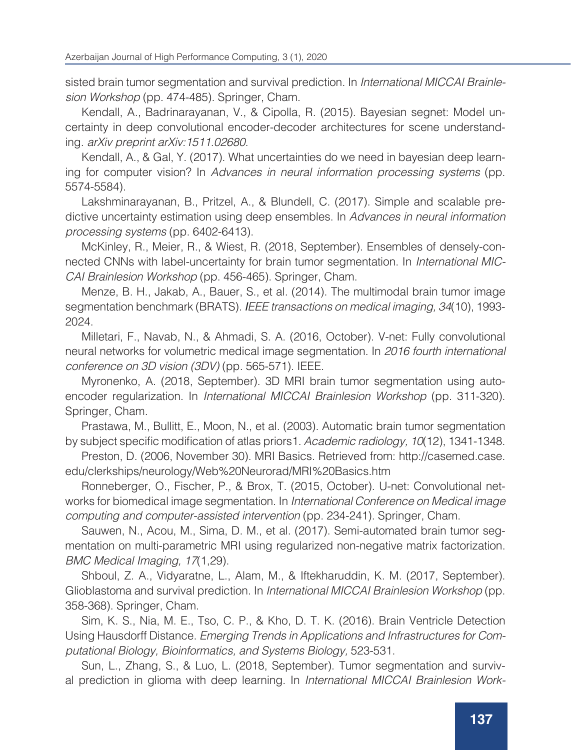sisted brain tumor segmentation and survival prediction. In *International MICCAI Brainlesion Workshop* (pp. 474-485). Springer, Cham.

Kendall, A., Badrinarayanan, V., & Cipolla, R. (2015). Bayesian segnet: Model uncertainty in deep convolutional encoder-decoder architectures for scene understanding. *arXiv preprint arXiv:1511.02680.*

Kendall, A., & Gal, Y. (2017). What uncertainties do we need in bayesian deep learning for computer vision? In *Advances in neural information processing systems* (pp. 5574-5584).

Lakshminarayanan, B., Pritzel, A., & Blundell, C. (2017). Simple and scalable predictive uncertainty estimation using deep ensembles. In *Advances in neural information processing systems* (pp. 6402-6413).

McKinley, R., Meier, R., & Wiest, R. (2018, September). Ensembles of densely-connected CNNs with label-uncertainty for brain tumor segmentation. In *International MIC-CAI Brainlesion Workshop* (pp. 456-465). Springer, Cham.

Menze, B. H., Jakab, A., Bauer, S., et al. (2014). The multimodal brain tumor image segmentation benchmark (BRATS). *IEEE transactions on medical imaging, 34*(10), 1993- 2024.

Milletari, F., Navab, N., & Ahmadi, S. A. (2016, October). V-net: Fully convolutional neural networks for volumetric medical image segmentation. In *2016 fourth international conference on 3D vision (3DV)* (pp. 565-571). IEEE.

Myronenko, A. (2018, September). 3D MRI brain tumor segmentation using autoencoder regularization. In *International MICCAI Brainlesion Workshop* (pp. 311-320). Springer, Cham.

Prastawa, M., Bullitt, E., Moon, N., et al. (2003). Automatic brain tumor segmentation by subject specific modification of atlas priors1. *Academic radiology, 10*(12), 1341-1348.

Preston, D. (2006, November 30). MRI Basics. Retrieved from: http://casemed.case. edu/clerkships/neurology/Web%20Neurorad/MRI%20Basics.htm

Ronneberger, O., Fischer, P., & Brox, T. (2015, October). U-net: Convolutional networks for biomedical image segmentation. In *International Conference on Medical image computing and computer-assisted intervention* (pp. 234-241). Springer, Cham.

Sauwen, N., Acou, M., Sima, D. M., et al. (2017). Semi-automated brain tumor segmentation on multi-parametric MRI using regularized non-negative matrix factorization. *BMC Medical Imaging, 17*(1,29).

Shboul, Z. A., Vidyaratne, L., Alam, M., & Iftekharuddin, K. M. (2017, September). Glioblastoma and survival prediction. In *International MICCAI Brainlesion Workshop* (pp. 358-368). Springer, Cham.

Sim, K. S., Nia, M. E., Tso, C. P., & Kho, D. T. K. (2016). Brain Ventricle Detection Using Hausdorff Distance. *Emerging Trends in Applications and Infrastructures for Computational Biology, Bioinformatics, and Systems Biology,* 523-531.

Sun, L., Zhang, S., & Luo, L. (2018, September). Tumor segmentation and survival prediction in glioma with deep learning. In *International MICCAI Brainlesion Work-*